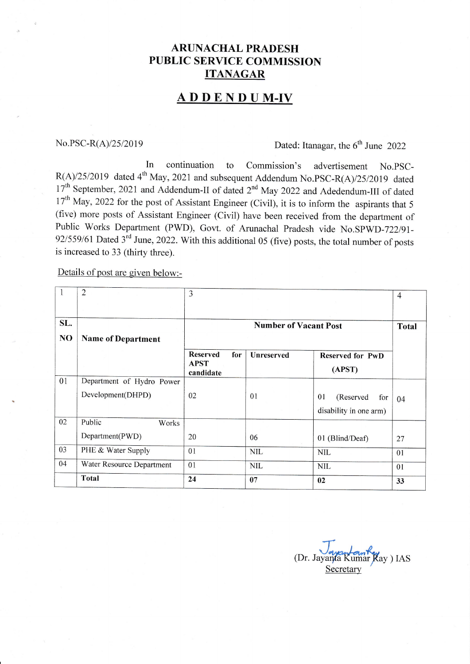### **ARUNACHAL PRADESH** PUBLIC SERVICE COMMISSION ITANAGAR

## ADDEND UM.IV

# No.PSC-R(A)/25/2019 Dated: Itanagar, the  $6<sup>th</sup>$  June 2022

In continuation to Commission's advertisement No.PSC- $R(A)/25/2019$  dated 4<sup>th</sup> May, 2021 and subsequent Addendum No.PSC-R(A)/25/2019 dated 17<sup>th</sup> September, 2021 and Addendum-II of dated 2<sup>nd</sup> May 2022 and Adedendum-III of dated  $17<sup>th</sup>$  May, 2022 for the post of Assistant Engineer (Civil), it is to inform the aspirants that 5 (five) more posts of Assistant Engineer (Civil) have been received from the department of Public Works Department (PWD), Govt. of Arunachal Pradesh vide No.SPWD-722/91-92/559/61 Dated  $3^{rd}$  June, 2022. With this additional 05 (five) posts, the total number of posts is increased to 33 (thirty three).

Details of post are given below:-

| 1   | $\overline{2}$            | 3                                                  |                   |                                   | 4            |
|-----|---------------------------|----------------------------------------------------|-------------------|-----------------------------------|--------------|
|     |                           |                                                    |                   |                                   |              |
| SL. |                           | <b>Number of Vacant Post</b>                       |                   |                                   | <b>Total</b> |
| NO  | <b>Name of Department</b> |                                                    |                   |                                   |              |
|     |                           | <b>Reserved</b><br>for<br><b>APST</b><br>candidate | <b>Unreserved</b> | <b>Reserved for PwD</b><br>(APST) |              |
| 01  | Department of Hydro Power |                                                    |                   |                                   |              |
|     | Development(DHPD)         | 02                                                 | 01                | 01<br>(Reserved<br>for            | 04           |
|     |                           |                                                    |                   | disability in one arm)            |              |
| 02  | Public<br>Works           |                                                    |                   |                                   |              |
|     | Department(PWD)           | 20                                                 | 06                | 01 (Blind/Deaf)                   | 27           |
| 03  | PHE & Water Supply        | 01                                                 | <b>NIL</b>        | <b>NIL</b>                        | 01           |
| 04  | Water Resource Department | 01                                                 | <b>NIL</b>        | <b>NIL</b>                        | 01           |
|     | Total                     | 24                                                 | 07                | 02                                | 33           |

(Dr. Jayanta Kumar Kay) IAS **Secretary**